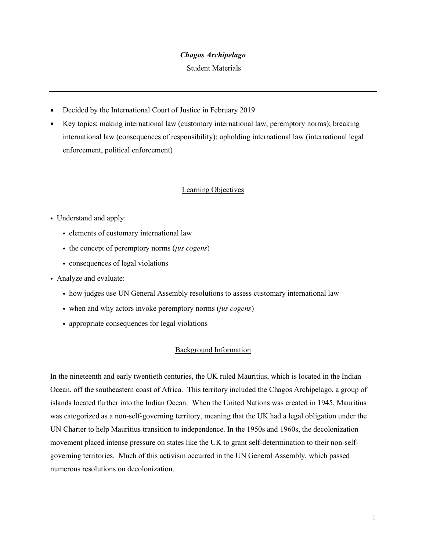#### *Chagos Archipelago*

Student Materials

- Decided by the International Court of Justice in February 2019
- Key topics: making international law (customary international law, peremptory norms); breaking international law (consequences of responsibility); upholding international law (international legal enforcement, political enforcement)

### Learning Objectives

### • Understand and apply:

- ! elements of customary international law
- ! the concept of peremptory norms (*jus cogens*)
- consequences of legal violations
- ! Analyze and evaluate:
	- ! how judges use UN General Assembly resolutions to assess customary international law
	- ! when and why actors invoke peremptory norms (*jus cogens*)
	- ! appropriate consequences for legal violations

### Background Information

In the nineteenth and early twentieth centuries, the UK ruled Mauritius, which is located in the Indian Ocean, off the southeastern coast of Africa. This territory included the Chagos Archipelago, a group of islands located further into the Indian Ocean. When the United Nations was created in 1945, Mauritius was categorized as a non-self-governing territory, meaning that the UK had a legal obligation under the UN Charter to help Mauritius transition to independence. In the 1950s and 1960s, the decolonization movement placed intense pressure on states like the UK to grant self-determination to their non-selfgoverning territories. Much of this activism occurred in the UN General Assembly, which passed numerous resolutions on decolonization.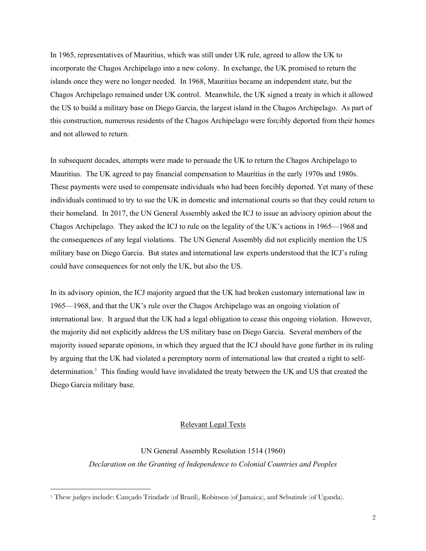In 1965, representatives of Mauritius, which was still under UK rule, agreed to allow the UK to incorporate the Chagos Archipelago into a new colony. In exchange, the UK promised to return the islands once they were no longer needed. In 1968, Mauritius became an independent state, but the Chagos Archipelago remained under UK control. Meanwhile, the UK signed a treaty in which it allowed the US to build a military base on Diego Garcia, the largest island in the Chagos Archipelago. As part of this construction, numerous residents of the Chagos Archipelago were forcibly deported from their homes and not allowed to return.

In subsequent decades, attempts were made to persuade the UK to return the Chagos Archipelago to Mauritius. The UK agreed to pay financial compensation to Mauritius in the early 1970s and 1980s. These payments were used to compensate individuals who had been forcibly deported. Yet many of these individuals continued to try to sue the UK in domestic and international courts so that they could return to their homeland. In 2017, the UN General Assembly asked the ICJ to issue an advisory opinion about the Chagos Archipelago. They asked the ICJ to rule on the legality of the UK's actions in 1965—1968 and the consequences of any legal violations. The UN General Assembly did not explicitly mention the US military base on Diego Garcia. But states and international law experts understood that the ICJ's ruling could have consequences for not only the UK, but also the US.

In its advisory opinion, the ICJ majority argued that the UK had broken customary international law in 1965—1968, and that the UK's rule over the Chagos Archipelago was an ongoing violation of international law. It argued that the UK had a legal obligation to cease this ongoing violation. However, the majority did not explicitly address the US military base on Diego Garcia. Several members of the majority issued separate opinions, in which they argued that the ICJ should have gone further in its ruling by arguing that the UK had violated a peremptory norm of international law that created a right to selfdetermination.<sup>1</sup> This finding would have invalidated the treaty between the UK and US that created the Diego Garcia military base.

# Relevant Legal Texts

UN General Assembly Resolution 1514 (1960) *Declaration on the Granting of Independence to Colonial Countries and Peoples*

<sup>1</sup> These judges include: Cançado Trindade (of Brazil), Robinson (of Jamaica), and Sebutinde (of Uganda).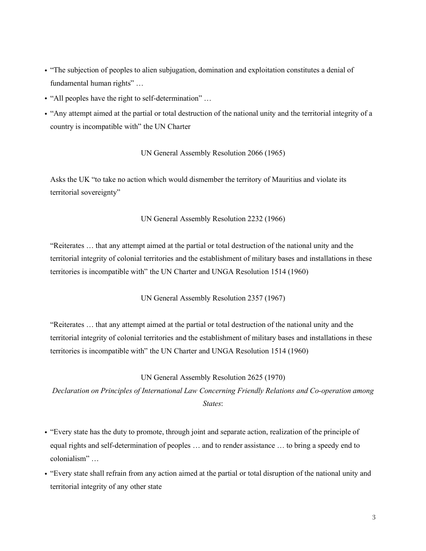- ! "The subjection of peoples to alien subjugation, domination and exploitation constitutes a denial of fundamental human rights" …
- ! "All peoples have the right to self-determination" …
- ! "Any attempt aimed at the partial or total destruction of the national unity and the territorial integrity of a country is incompatible with" the UN Charter

# UN General Assembly Resolution 2066 (1965)

Asks the UK "to take no action which would dismember the territory of Mauritius and violate its territorial sovereignty"

# UN General Assembly Resolution 2232 (1966)

"Reiterates … that any attempt aimed at the partial or total destruction of the national unity and the territorial integrity of colonial territories and the establishment of military bases and installations in these territories is incompatible with" the UN Charter and UNGA Resolution 1514 (1960)

UN General Assembly Resolution 2357 (1967)

"Reiterates … that any attempt aimed at the partial or total destruction of the national unity and the territorial integrity of colonial territories and the establishment of military bases and installations in these territories is incompatible with" the UN Charter and UNGA Resolution 1514 (1960)

# UN General Assembly Resolution 2625 (1970)

*Declaration on Principles of International Law Concerning Friendly Relations and Co-operation among States*:

- ! "Every state has the duty to promote, through joint and separate action, realization of the principle of equal rights and self-determination of peoples … and to render assistance … to bring a speedy end to colonialism" …
- ! "Every state shall refrain from any action aimed at the partial or total disruption of the national unity and territorial integrity of any other state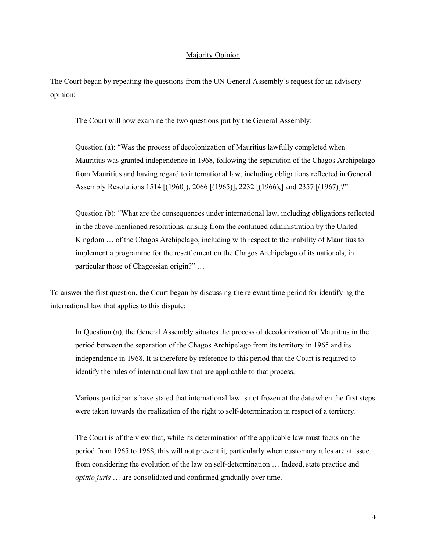#### Majority Opinion

The Court began by repeating the questions from the UN General Assembly's request for an advisory opinion:

The Court will now examine the two questions put by the General Assembly:

Question (a): "Was the process of decolonization of Mauritius lawfully completed when Mauritius was granted independence in 1968, following the separation of the Chagos Archipelago from Mauritius and having regard to international law, including obligations reflected in General Assembly Resolutions 1514 [(1960]), 2066 [(1965)], 2232 [(1966),] and 2357 [(1967)]?"

Question (b): "What are the consequences under international law, including obligations reflected in the above-mentioned resolutions, arising from the continued administration by the United Kingdom … of the Chagos Archipelago, including with respect to the inability of Mauritius to implement a programme for the resettlement on the Chagos Archipelago of its nationals, in particular those of Chagossian origin?" …

To answer the first question, the Court began by discussing the relevant time period for identifying the international law that applies to this dispute:

In Question (a), the General Assembly situates the process of decolonization of Mauritius in the period between the separation of the Chagos Archipelago from its territory in 1965 and its independence in 1968. It is therefore by reference to this period that the Court is required to identify the rules of international law that are applicable to that process.

Various participants have stated that international law is not frozen at the date when the first steps were taken towards the realization of the right to self-determination in respect of a territory.

The Court is of the view that, while its determination of the applicable law must focus on the period from 1965 to 1968, this will not prevent it, particularly when customary rules are at issue, from considering the evolution of the law on self-determination … Indeed, state practice and *opinio juris* … are consolidated and confirmed gradually over time.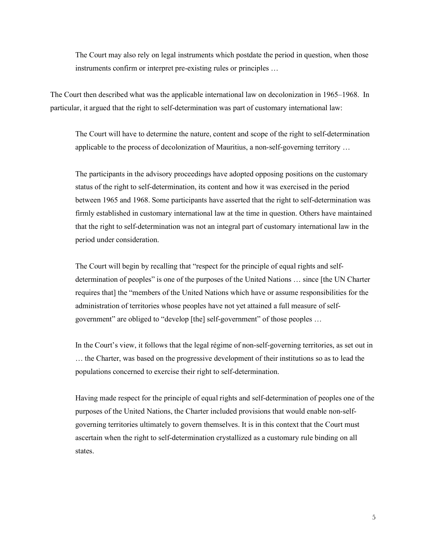The Court may also rely on legal instruments which postdate the period in question, when those instruments confirm or interpret pre-existing rules or principles …

The Court then described what was the applicable international law on decolonization in 1965–1968. In particular, it argued that the right to self-determination was part of customary international law:

The Court will have to determine the nature, content and scope of the right to self-determination applicable to the process of decolonization of Mauritius, a non-self-governing territory …

The participants in the advisory proceedings have adopted opposing positions on the customary status of the right to self-determination, its content and how it was exercised in the period between 1965 and 1968. Some participants have asserted that the right to self-determination was firmly established in customary international law at the time in question. Others have maintained that the right to self-determination was not an integral part of customary international law in the period under consideration.

The Court will begin by recalling that "respect for the principle of equal rights and selfdetermination of peoples" is one of the purposes of the United Nations … since [the UN Charter requires that] the "members of the United Nations which have or assume responsibilities for the administration of territories whose peoples have not yet attained a full measure of selfgovernment" are obliged to "develop [the] self-government" of those peoples …

In the Court's view, it follows that the legal régime of non-self-governing territories, as set out in … the Charter, was based on the progressive development of their institutions so as to lead the populations concerned to exercise their right to self-determination.

Having made respect for the principle of equal rights and self-determination of peoples one of the purposes of the United Nations, the Charter included provisions that would enable non-selfgoverning territories ultimately to govern themselves. It is in this context that the Court must ascertain when the right to self-determination crystallized as a customary rule binding on all states.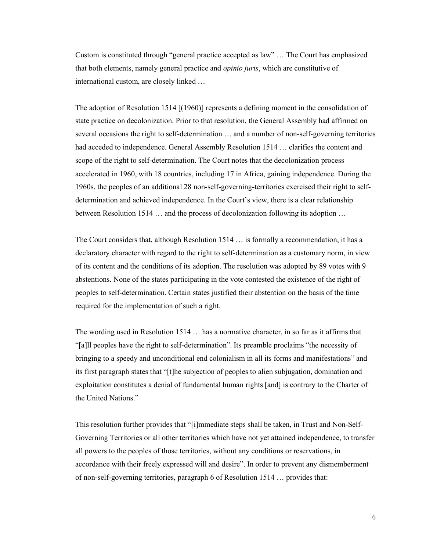Custom is constituted through "general practice accepted as law" … The Court has emphasized that both elements, namely general practice and *opinio juris*, which are constitutive of international custom, are closely linked …

The adoption of Resolution 1514 [(1960)] represents a defining moment in the consolidation of state practice on decolonization. Prior to that resolution, the General Assembly had affirmed on several occasions the right to self-determination … and a number of non-self-governing territories had acceded to independence. General Assembly Resolution 1514 ... clarifies the content and scope of the right to self-determination. The Court notes that the decolonization process accelerated in 1960, with 18 countries, including 17 in Africa, gaining independence. During the 1960s, the peoples of an additional 28 non-self-governing-territories exercised their right to selfdetermination and achieved independence. In the Court's view, there is a clear relationship between Resolution 1514 … and the process of decolonization following its adoption …

The Court considers that, although Resolution 1514 … is formally a recommendation, it has a declaratory character with regard to the right to self-determination as a customary norm, in view of its content and the conditions of its adoption. The resolution was adopted by 89 votes with 9 abstentions. None of the states participating in the vote contested the existence of the right of peoples to self-determination. Certain states justified their abstention on the basis of the time required for the implementation of such a right.

The wording used in Resolution 1514 … has a normative character, in so far as it affirms that "[a]ll peoples have the right to self-determination". Its preamble proclaims "the necessity of bringing to a speedy and unconditional end colonialism in all its forms and manifestations" and its first paragraph states that "[t]he subjection of peoples to alien subjugation, domination and exploitation constitutes a denial of fundamental human rights [and] is contrary to the Charter of the United Nations."

This resolution further provides that "[i]mmediate steps shall be taken, in Trust and Non-Self-Governing Territories or all other territories which have not yet attained independence, to transfer all powers to the peoples of those territories, without any conditions or reservations, in accordance with their freely expressed will and desire". In order to prevent any dismemberment of non-self-governing territories, paragraph 6 of Resolution 1514 … provides that: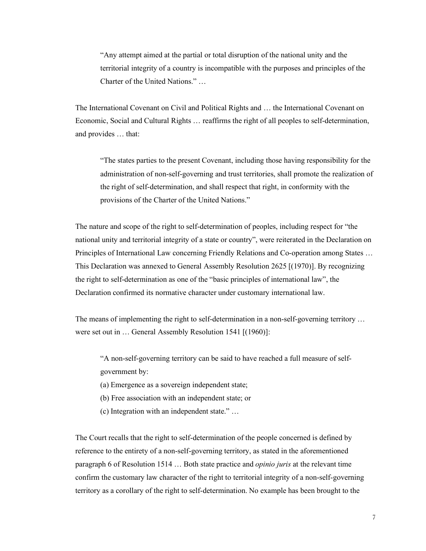"Any attempt aimed at the partial or total disruption of the national unity and the territorial integrity of a country is incompatible with the purposes and principles of the Charter of the United Nations." …

The International Covenant on Civil and Political Rights and … the International Covenant on Economic, Social and Cultural Rights … reaffirms the right of all peoples to self-determination, and provides … that:

"The states parties to the present Covenant, including those having responsibility for the administration of non-self-governing and trust territories, shall promote the realization of the right of self-determination, and shall respect that right, in conformity with the provisions of the Charter of the United Nations."

The nature and scope of the right to self-determination of peoples, including respect for "the national unity and territorial integrity of a state or country", were reiterated in the Declaration on Principles of International Law concerning Friendly Relations and Co-operation among States … This Declaration was annexed to General Assembly Resolution 2625 [(1970)]. By recognizing the right to self-determination as one of the "basic principles of international law", the Declaration confirmed its normative character under customary international law.

The means of implementing the right to self-determination in a non-self-governing territory ... were set out in … General Assembly Resolution 1541 [(1960)]:

"A non-self-governing territory can be said to have reached a full measure of selfgovernment by:

- (a) Emergence as a sovereign independent state;
- (b) Free association with an independent state; or
- (c) Integration with an independent state." …

The Court recalls that the right to self-determination of the people concerned is defined by reference to the entirety of a non-self-governing territory, as stated in the aforementioned paragraph 6 of Resolution 1514 … Both state practice and *opinio juris* at the relevant time confirm the customary law character of the right to territorial integrity of a non-self-governing territory as a corollary of the right to self-determination. No example has been brought to the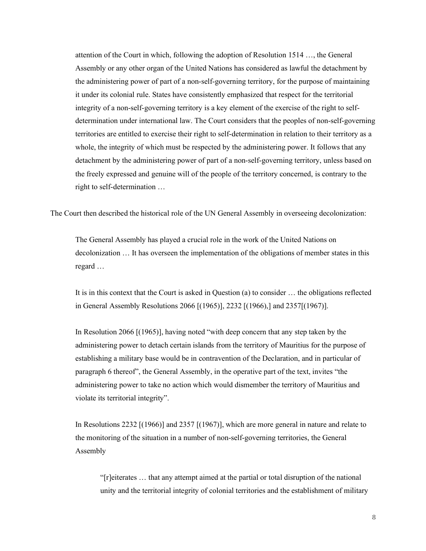attention of the Court in which, following the adoption of Resolution 1514 …, the General Assembly or any other organ of the United Nations has considered as lawful the detachment by the administering power of part of a non-self-governing territory, for the purpose of maintaining it under its colonial rule. States have consistently emphasized that respect for the territorial integrity of a non-self-governing territory is a key element of the exercise of the right to selfdetermination under international law. The Court considers that the peoples of non-self-governing territories are entitled to exercise their right to self-determination in relation to their territory as a whole, the integrity of which must be respected by the administering power. It follows that any detachment by the administering power of part of a non-self-governing territory, unless based on the freely expressed and genuine will of the people of the territory concerned, is contrary to the right to self-determination …

The Court then described the historical role of the UN General Assembly in overseeing decolonization:

The General Assembly has played a crucial role in the work of the United Nations on decolonization … It has overseen the implementation of the obligations of member states in this regard …

It is in this context that the Court is asked in Question (a) to consider … the obligations reflected in General Assembly Resolutions 2066 [(1965)], 2232 [(1966),] and 2357[(1967)].

In Resolution 2066 [(1965)], having noted "with deep concern that any step taken by the administering power to detach certain islands from the territory of Mauritius for the purpose of establishing a military base would be in contravention of the Declaration, and in particular of paragraph 6 thereof", the General Assembly, in the operative part of the text, invites "the administering power to take no action which would dismember the territory of Mauritius and violate its territorial integrity".

In Resolutions 2232 [(1966)] and 2357 [(1967)], which are more general in nature and relate to the monitoring of the situation in a number of non-self-governing territories, the General Assembly

"[r]eiterates … that any attempt aimed at the partial or total disruption of the national unity and the territorial integrity of colonial territories and the establishment of military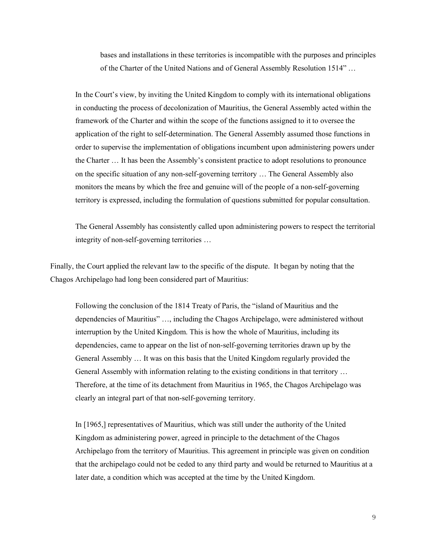bases and installations in these territories is incompatible with the purposes and principles of the Charter of the United Nations and of General Assembly Resolution 1514" …

In the Court's view, by inviting the United Kingdom to comply with its international obligations in conducting the process of decolonization of Mauritius, the General Assembly acted within the framework of the Charter and within the scope of the functions assigned to it to oversee the application of the right to self-determination. The General Assembly assumed those functions in order to supervise the implementation of obligations incumbent upon administering powers under the Charter … It has been the Assembly's consistent practice to adopt resolutions to pronounce on the specific situation of any non-self-governing territory … The General Assembly also monitors the means by which the free and genuine will of the people of a non-self-governing territory is expressed, including the formulation of questions submitted for popular consultation.

The General Assembly has consistently called upon administering powers to respect the territorial integrity of non-self-governing territories …

Finally, the Court applied the relevant law to the specific of the dispute. It began by noting that the Chagos Archipelago had long been considered part of Mauritius:

Following the conclusion of the 1814 Treaty of Paris, the "island of Mauritius and the dependencies of Mauritius" …, including the Chagos Archipelago, were administered without interruption by the United Kingdom. This is how the whole of Mauritius, including its dependencies, came to appear on the list of non-self-governing territories drawn up by the General Assembly … It was on this basis that the United Kingdom regularly provided the General Assembly with information relating to the existing conditions in that territory … Therefore, at the time of its detachment from Mauritius in 1965, the Chagos Archipelago was clearly an integral part of that non-self-governing territory.

In [1965,] representatives of Mauritius, which was still under the authority of the United Kingdom as administering power, agreed in principle to the detachment of the Chagos Archipelago from the territory of Mauritius. This agreement in principle was given on condition that the archipelago could not be ceded to any third party and would be returned to Mauritius at a later date, a condition which was accepted at the time by the United Kingdom.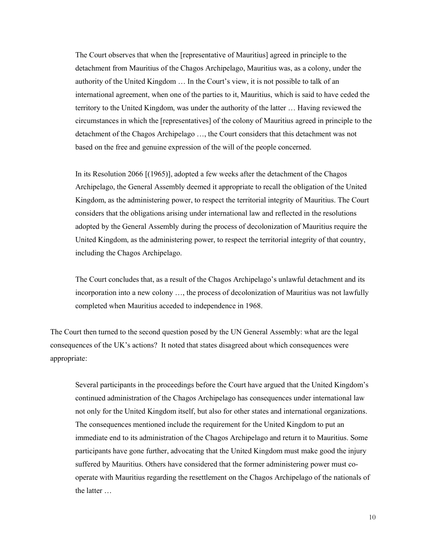The Court observes that when the [representative of Mauritius] agreed in principle to the detachment from Mauritius of the Chagos Archipelago, Mauritius was, as a colony, under the authority of the United Kingdom … In the Court's view, it is not possible to talk of an international agreement, when one of the parties to it, Mauritius, which is said to have ceded the territory to the United Kingdom, was under the authority of the latter … Having reviewed the circumstances in which the [representatives] of the colony of Mauritius agreed in principle to the detachment of the Chagos Archipelago …, the Court considers that this detachment was not based on the free and genuine expression of the will of the people concerned.

In its Resolution 2066 [(1965)], adopted a few weeks after the detachment of the Chagos Archipelago, the General Assembly deemed it appropriate to recall the obligation of the United Kingdom, as the administering power, to respect the territorial integrity of Mauritius. The Court considers that the obligations arising under international law and reflected in the resolutions adopted by the General Assembly during the process of decolonization of Mauritius require the United Kingdom, as the administering power, to respect the territorial integrity of that country, including the Chagos Archipelago.

The Court concludes that, as a result of the Chagos Archipelago's unlawful detachment and its incorporation into a new colony …, the process of decolonization of Mauritius was not lawfully completed when Mauritius acceded to independence in 1968.

The Court then turned to the second question posed by the UN General Assembly: what are the legal consequences of the UK's actions? It noted that states disagreed about which consequences were appropriate:

Several participants in the proceedings before the Court have argued that the United Kingdom's continued administration of the Chagos Archipelago has consequences under international law not only for the United Kingdom itself, but also for other states and international organizations. The consequences mentioned include the requirement for the United Kingdom to put an immediate end to its administration of the Chagos Archipelago and return it to Mauritius. Some participants have gone further, advocating that the United Kingdom must make good the injury suffered by Mauritius. Others have considered that the former administering power must cooperate with Mauritius regarding the resettlement on the Chagos Archipelago of the nationals of the latter …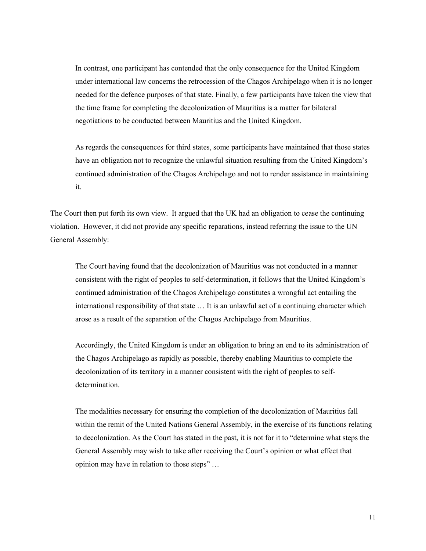In contrast, one participant has contended that the only consequence for the United Kingdom under international law concerns the retrocession of the Chagos Archipelago when it is no longer needed for the defence purposes of that state. Finally, a few participants have taken the view that the time frame for completing the decolonization of Mauritius is a matter for bilateral negotiations to be conducted between Mauritius and the United Kingdom.

As regards the consequences for third states, some participants have maintained that those states have an obligation not to recognize the unlawful situation resulting from the United Kingdom's continued administration of the Chagos Archipelago and not to render assistance in maintaining it.

The Court then put forth its own view. It argued that the UK had an obligation to cease the continuing violation. However, it did not provide any specific reparations, instead referring the issue to the UN General Assembly:

The Court having found that the decolonization of Mauritius was not conducted in a manner consistent with the right of peoples to self-determination, it follows that the United Kingdom's continued administration of the Chagos Archipelago constitutes a wrongful act entailing the international responsibility of that state … It is an unlawful act of a continuing character which arose as a result of the separation of the Chagos Archipelago from Mauritius.

Accordingly, the United Kingdom is under an obligation to bring an end to its administration of the Chagos Archipelago as rapidly as possible, thereby enabling Mauritius to complete the decolonization of its territory in a manner consistent with the right of peoples to selfdetermination.

The modalities necessary for ensuring the completion of the decolonization of Mauritius fall within the remit of the United Nations General Assembly, in the exercise of its functions relating to decolonization. As the Court has stated in the past, it is not for it to "determine what steps the General Assembly may wish to take after receiving the Court's opinion or what effect that opinion may have in relation to those steps" …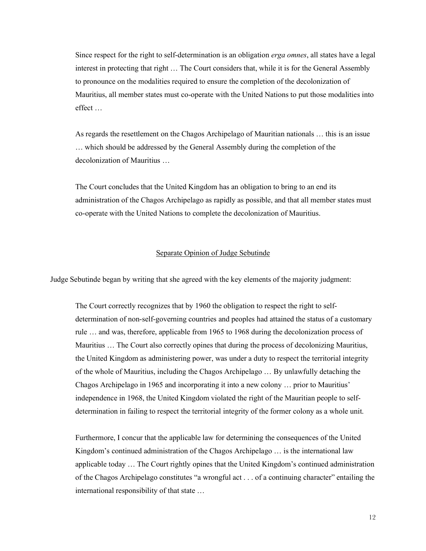Since respect for the right to self-determination is an obligation *erga omnes*, all states have a legal interest in protecting that right … The Court considers that, while it is for the General Assembly to pronounce on the modalities required to ensure the completion of the decolonization of Mauritius, all member states must co-operate with the United Nations to put those modalities into effect …

As regards the resettlement on the Chagos Archipelago of Mauritian nationals … this is an issue … which should be addressed by the General Assembly during the completion of the decolonization of Mauritius …

The Court concludes that the United Kingdom has an obligation to bring to an end its administration of the Chagos Archipelago as rapidly as possible, and that all member states must co-operate with the United Nations to complete the decolonization of Mauritius.

### Separate Opinion of Judge Sebutinde

Judge Sebutinde began by writing that she agreed with the key elements of the majority judgment:

The Court correctly recognizes that by 1960 the obligation to respect the right to selfdetermination of non-self-governing countries and peoples had attained the status of a customary rule … and was, therefore, applicable from 1965 to 1968 during the decolonization process of Mauritius … The Court also correctly opines that during the process of decolonizing Mauritius, the United Kingdom as administering power, was under a duty to respect the territorial integrity of the whole of Mauritius, including the Chagos Archipelago … By unlawfully detaching the Chagos Archipelago in 1965 and incorporating it into a new colony … prior to Mauritius' independence in 1968, the United Kingdom violated the right of the Mauritian people to selfdetermination in failing to respect the territorial integrity of the former colony as a whole unit.

Furthermore, I concur that the applicable law for determining the consequences of the United Kingdom's continued administration of the Chagos Archipelago ... is the international law applicable today … The Court rightly opines that the United Kingdom's continued administration of the Chagos Archipelago constitutes "a wrongful act . . . of a continuing character" entailing the international responsibility of that state …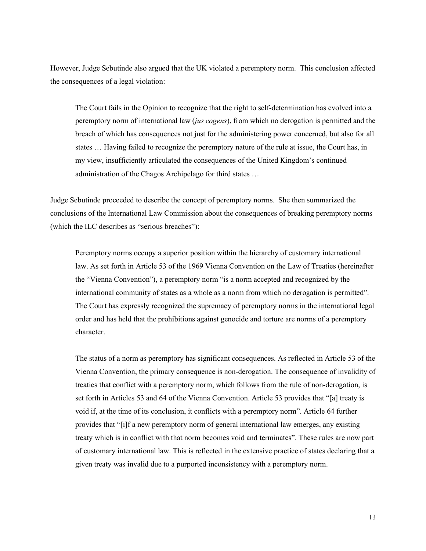However, Judge Sebutinde also argued that the UK violated a peremptory norm. This conclusion affected the consequences of a legal violation:

The Court fails in the Opinion to recognize that the right to self-determination has evolved into a peremptory norm of international law (*jus cogens*), from which no derogation is permitted and the breach of which has consequences not just for the administering power concerned, but also for all states … Having failed to recognize the peremptory nature of the rule at issue, the Court has, in my view, insufficiently articulated the consequences of the United Kingdom's continued administration of the Chagos Archipelago for third states …

Judge Sebutinde proceeded to describe the concept of peremptory norms. She then summarized the conclusions of the International Law Commission about the consequences of breaking peremptory norms (which the ILC describes as "serious breaches"):

Peremptory norms occupy a superior position within the hierarchy of customary international law. As set forth in Article 53 of the 1969 Vienna Convention on the Law of Treaties (hereinafter the "Vienna Convention"), a peremptory norm "is a norm accepted and recognized by the international community of states as a whole as a norm from which no derogation is permitted". The Court has expressly recognized the supremacy of peremptory norms in the international legal order and has held that the prohibitions against genocide and torture are norms of a peremptory character.

The status of a norm as peremptory has significant consequences. As reflected in Article 53 of the Vienna Convention, the primary consequence is non-derogation. The consequence of invalidity of treaties that conflict with a peremptory norm, which follows from the rule of non-derogation, is set forth in Articles 53 and 64 of the Vienna Convention. Article 53 provides that "[a] treaty is void if, at the time of its conclusion, it conflicts with a peremptory norm". Article 64 further provides that "[i]f a new peremptory norm of general international law emerges, any existing treaty which is in conflict with that norm becomes void and terminates". These rules are now part of customary international law. This is reflected in the extensive practice of states declaring that a given treaty was invalid due to a purported inconsistency with a peremptory norm.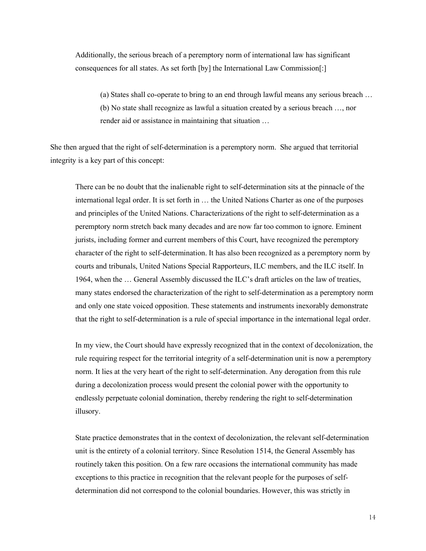Additionally, the serious breach of a peremptory norm of international law has significant consequences for all states. As set forth [by] the International Law Commission[:]

(a) States shall co-operate to bring to an end through lawful means any serious breach … (b) No state shall recognize as lawful a situation created by a serious breach …, nor render aid or assistance in maintaining that situation …

She then argued that the right of self-determination is a peremptory norm. She argued that territorial integrity is a key part of this concept:

There can be no doubt that the inalienable right to self-determination sits at the pinnacle of the international legal order. It is set forth in … the United Nations Charter as one of the purposes and principles of the United Nations. Characterizations of the right to self-determination as a peremptory norm stretch back many decades and are now far too common to ignore. Eminent jurists, including former and current members of this Court, have recognized the peremptory character of the right to self-determination. It has also been recognized as a peremptory norm by courts and tribunals, United Nations Special Rapporteurs, ILC members, and the ILC itself. In 1964, when the … General Assembly discussed the ILC's draft articles on the law of treaties, many states endorsed the characterization of the right to self-determination as a peremptory norm and only one state voiced opposition. These statements and instruments inexorably demonstrate that the right to self-determination is a rule of special importance in the international legal order.

In my view, the Court should have expressly recognized that in the context of decolonization, the rule requiring respect for the territorial integrity of a self-determination unit is now a peremptory norm. It lies at the very heart of the right to self-determination. Any derogation from this rule during a decolonization process would present the colonial power with the opportunity to endlessly perpetuate colonial domination, thereby rendering the right to self-determination illusory.

State practice demonstrates that in the context of decolonization, the relevant self-determination unit is the entirety of a colonial territory. Since Resolution 1514, the General Assembly has routinely taken this position. On a few rare occasions the international community has made exceptions to this practice in recognition that the relevant people for the purposes of selfdetermination did not correspond to the colonial boundaries. However, this was strictly in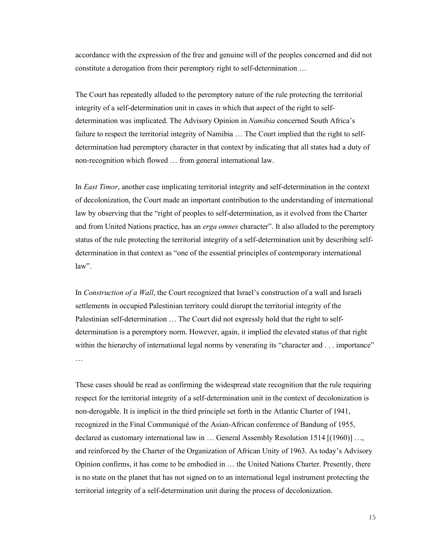accordance with the expression of the free and genuine will of the peoples concerned and did not constitute a derogation from their peremptory right to self-determination …

The Court has repeatedly alluded to the peremptory nature of the rule protecting the territorial integrity of a self-determination unit in cases in which that aspect of the right to selfdetermination was implicated. The Advisory Opinion in *Namibia* concerned South Africa's failure to respect the territorial integrity of Namibia … The Court implied that the right to selfdetermination had peremptory character in that context by indicating that all states had a duty of non-recognition which flowed … from general international law.

In *East Timor*, another case implicating territorial integrity and self-determination in the context of decolonization, the Court made an important contribution to the understanding of international law by observing that the "right of peoples to self-determination, as it evolved from the Charter and from United Nations practice, has an *erga omnes* character". It also alluded to the peremptory status of the rule protecting the territorial integrity of a self-determination unit by describing selfdetermination in that context as "one of the essential principles of contemporary international law".

In *Construction of a Wall*, the Court recognized that Israel's construction of a wall and Israeli settlements in occupied Palestinian territory could disrupt the territorial integrity of the Palestinian self-determination … The Court did not expressly hold that the right to selfdetermination is a peremptory norm. However, again, it implied the elevated status of that right within the hierarchy of international legal norms by venerating its "character and . . . importance" …

These cases should be read as confirming the widespread state recognition that the rule requiring respect for the territorial integrity of a self-determination unit in the context of decolonization is non-derogable. It is implicit in the third principle set forth in the Atlantic Charter of 1941, recognized in the Final Communiqué of the Asian-African conference of Bandung of 1955, declared as customary international law in … General Assembly Resolution 1514 [(1960)] …, and reinforced by the Charter of the Organization of African Unity of 1963. As today's Advisory Opinion confirms, it has come to be embodied in … the United Nations Charter. Presently, there is no state on the planet that has not signed on to an international legal instrument protecting the territorial integrity of a self-determination unit during the process of decolonization.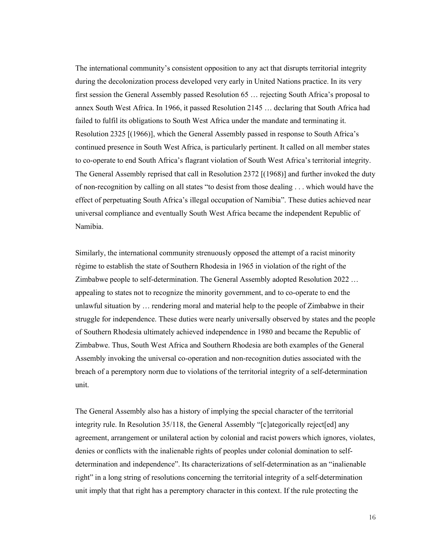The international community's consistent opposition to any act that disrupts territorial integrity during the decolonization process developed very early in United Nations practice. In its very first session the General Assembly passed Resolution 65 … rejecting South Africa's proposal to annex South West Africa. In 1966, it passed Resolution 2145 … declaring that South Africa had failed to fulfil its obligations to South West Africa under the mandate and terminating it. Resolution 2325 [(1966)], which the General Assembly passed in response to South Africa's continued presence in South West Africa, is particularly pertinent. It called on all member states to co-operate to end South Africa's flagrant violation of South West Africa's territorial integrity. The General Assembly reprised that call in Resolution 2372 [(1968)] and further invoked the duty of non-recognition by calling on all states "to desist from those dealing . . . which would have the effect of perpetuating South Africa's illegal occupation of Namibia". These duties achieved near universal compliance and eventually South West Africa became the independent Republic of Namibia.

Similarly, the international community strenuously opposed the attempt of a racist minority régime to establish the state of Southern Rhodesia in 1965 in violation of the right of the Zimbabwe people to self-determination. The General Assembly adopted Resolution 2022 … appealing to states not to recognize the minority government, and to co-operate to end the unlawful situation by … rendering moral and material help to the people of Zimbabwe in their struggle for independence. These duties were nearly universally observed by states and the people of Southern Rhodesia ultimately achieved independence in 1980 and became the Republic of Zimbabwe. Thus, South West Africa and Southern Rhodesia are both examples of the General Assembly invoking the universal co-operation and non-recognition duties associated with the breach of a peremptory norm due to violations of the territorial integrity of a self-determination unit.

The General Assembly also has a history of implying the special character of the territorial integrity rule. In Resolution 35/118, the General Assembly "[c]ategorically reject[ed] any agreement, arrangement or unilateral action by colonial and racist powers which ignores, violates, denies or conflicts with the inalienable rights of peoples under colonial domination to selfdetermination and independence". Its characterizations of self-determination as an "inalienable right" in a long string of resolutions concerning the territorial integrity of a self-determination unit imply that that right has a peremptory character in this context. If the rule protecting the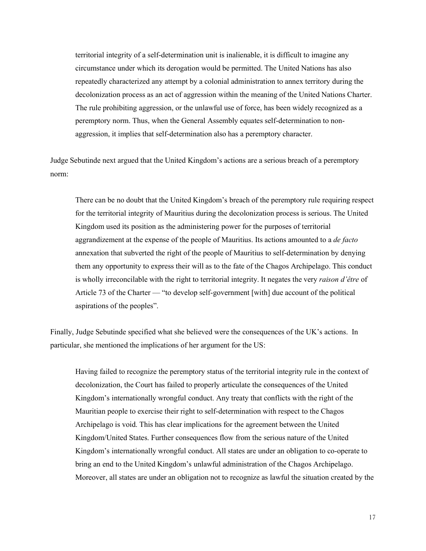territorial integrity of a self-determination unit is inalienable, it is difficult to imagine any circumstance under which its derogation would be permitted. The United Nations has also repeatedly characterized any attempt by a colonial administration to annex territory during the decolonization process as an act of aggression within the meaning of the United Nations Charter. The rule prohibiting aggression, or the unlawful use of force, has been widely recognized as a peremptory norm. Thus, when the General Assembly equates self-determination to nonaggression, it implies that self-determination also has a peremptory character.

Judge Sebutinde next argued that the United Kingdom's actions are a serious breach of a peremptory norm:

There can be no doubt that the United Kingdom's breach of the peremptory rule requiring respect for the territorial integrity of Mauritius during the decolonization process is serious. The United Kingdom used its position as the administering power for the purposes of territorial aggrandizement at the expense of the people of Mauritius. Its actions amounted to a *de facto* annexation that subverted the right of the people of Mauritius to self-determination by denying them any opportunity to express their will as to the fate of the Chagos Archipelago. This conduct is wholly irreconcilable with the right to territorial integrity. It negates the very *raison d'être* of Article 73 of the Charter — "to develop self-government [with] due account of the political aspirations of the peoples".

Finally, Judge Sebutinde specified what she believed were the consequences of the UK's actions. In particular, she mentioned the implications of her argument for the US:

Having failed to recognize the peremptory status of the territorial integrity rule in the context of decolonization, the Court has failed to properly articulate the consequences of the United Kingdom's internationally wrongful conduct. Any treaty that conflicts with the right of the Mauritian people to exercise their right to self-determination with respect to the Chagos Archipelago is void. This has clear implications for the agreement between the United Kingdom/United States. Further consequences flow from the serious nature of the United Kingdom's internationally wrongful conduct. All states are under an obligation to co-operate to bring an end to the United Kingdom's unlawful administration of the Chagos Archipelago. Moreover, all states are under an obligation not to recognize as lawful the situation created by the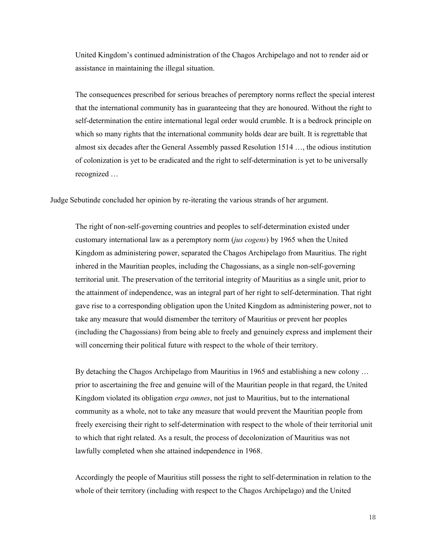United Kingdom's continued administration of the Chagos Archipelago and not to render aid or assistance in maintaining the illegal situation.

The consequences prescribed for serious breaches of peremptory norms reflect the special interest that the international community has in guaranteeing that they are honoured. Without the right to self-determination the entire international legal order would crumble. It is a bedrock principle on which so many rights that the international community holds dear are built. It is regrettable that almost six decades after the General Assembly passed Resolution 1514 …, the odious institution of colonization is yet to be eradicated and the right to self-determination is yet to be universally recognized …

Judge Sebutinde concluded her opinion by re-iterating the various strands of her argument.

The right of non-self-governing countries and peoples to self-determination existed under customary international law as a peremptory norm (*jus cogens*) by 1965 when the United Kingdom as administering power, separated the Chagos Archipelago from Mauritius. The right inhered in the Mauritian peoples, including the Chagossians, as a single non-self-governing territorial unit. The preservation of the territorial integrity of Mauritius as a single unit, prior to the attainment of independence, was an integral part of her right to self-determination. That right gave rise to a corresponding obligation upon the United Kingdom as administering power, not to take any measure that would dismember the territory of Mauritius or prevent her peoples (including the Chagossians) from being able to freely and genuinely express and implement their will concerning their political future with respect to the whole of their territory.

By detaching the Chagos Archipelago from Mauritius in 1965 and establishing a new colony ... prior to ascertaining the free and genuine will of the Mauritian people in that regard, the United Kingdom violated its obligation *erga omnes*, not just to Mauritius, but to the international community as a whole, not to take any measure that would prevent the Mauritian people from freely exercising their right to self-determination with respect to the whole of their territorial unit to which that right related. As a result, the process of decolonization of Mauritius was not lawfully completed when she attained independence in 1968.

Accordingly the people of Mauritius still possess the right to self-determination in relation to the whole of their territory (including with respect to the Chagos Archipelago) and the United